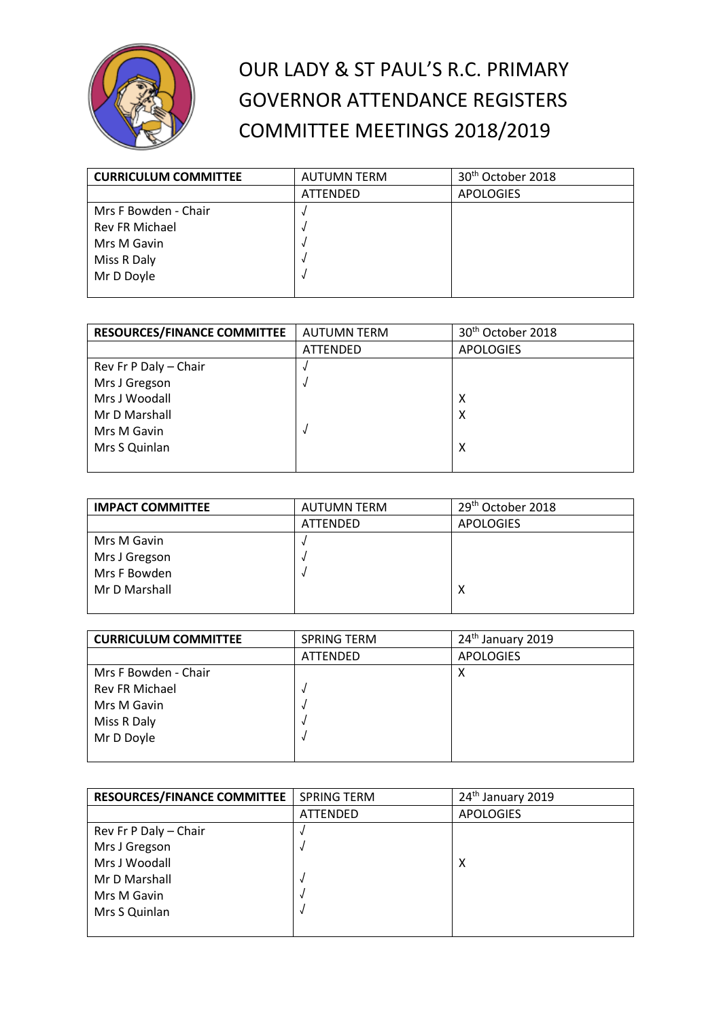

## OUR LADY & ST PAUL'S R.C. PRIMARY GOVERNOR ATTENDANCE REGISTERS COMMITTEE MEETINGS 2018/2019

| <b>CURRICULUM COMMITTEE</b> | <b>AUTUMN TERM</b> | 30 <sup>th</sup> October 2018 |
|-----------------------------|--------------------|-------------------------------|
|                             | ATTENDED           | <b>APOLOGIES</b>              |
| Mrs F Bowden - Chair        |                    |                               |
| <b>Rev FR Michael</b>       |                    |                               |
| Mrs M Gavin                 |                    |                               |
| Miss R Daly                 |                    |                               |
| Mr D Doyle                  |                    |                               |
|                             |                    |                               |

| <b>RESOURCES/FINANCE COMMITTEE</b> | <b>AUTUMN TERM</b> | 30 <sup>th</sup> October 2018 |
|------------------------------------|--------------------|-------------------------------|
|                                    | <b>ATTENDED</b>    | <b>APOLOGIES</b>              |
| Rev Fr P Daly - Chair              |                    |                               |
| Mrs J Gregson                      |                    |                               |
| Mrs J Woodall                      |                    | х                             |
| Mr D Marshall                      |                    | х                             |
| Mrs M Gavin                        |                    |                               |
| Mrs S Quinlan                      |                    | χ                             |
|                                    |                    |                               |

| <b>IMPACT COMMITTEE</b> | <b>AUTUMN TERM</b> | 29 <sup>th</sup> October 2018 |
|-------------------------|--------------------|-------------------------------|
|                         | <b>ATTENDED</b>    | <b>APOLOGIES</b>              |
| Mrs M Gavin             |                    |                               |
| Mrs J Gregson           |                    |                               |
| Mrs F Bowden            |                    |                               |
| Mr D Marshall           |                    | х                             |
|                         |                    |                               |

| <b>CURRICULUM COMMITTEE</b> | <b>SPRING TERM</b> | 24 <sup>th</sup> January 2019 |
|-----------------------------|--------------------|-------------------------------|
|                             | <b>ATTENDED</b>    | <b>APOLOGIES</b>              |
| Mrs F Bowden - Chair        |                    | х                             |
| <b>Rev FR Michael</b>       |                    |                               |
| Mrs M Gavin                 |                    |                               |
| Miss R Daly                 |                    |                               |
| Mr D Doyle                  |                    |                               |
|                             |                    |                               |

| <b>RESOURCES/FINANCE COMMITTEE</b> | <b>SPRING TERM</b> | 24 <sup>th</sup> January 2019 |
|------------------------------------|--------------------|-------------------------------|
|                                    | <b>ATTENDED</b>    | <b>APOLOGIES</b>              |
| Rev Fr P Daly - Chair              |                    |                               |
| Mrs J Gregson                      |                    |                               |
| Mrs J Woodall                      |                    | х                             |
| Mr D Marshall                      |                    |                               |
| Mrs M Gavin                        |                    |                               |
| Mrs S Quinlan                      |                    |                               |
|                                    |                    |                               |